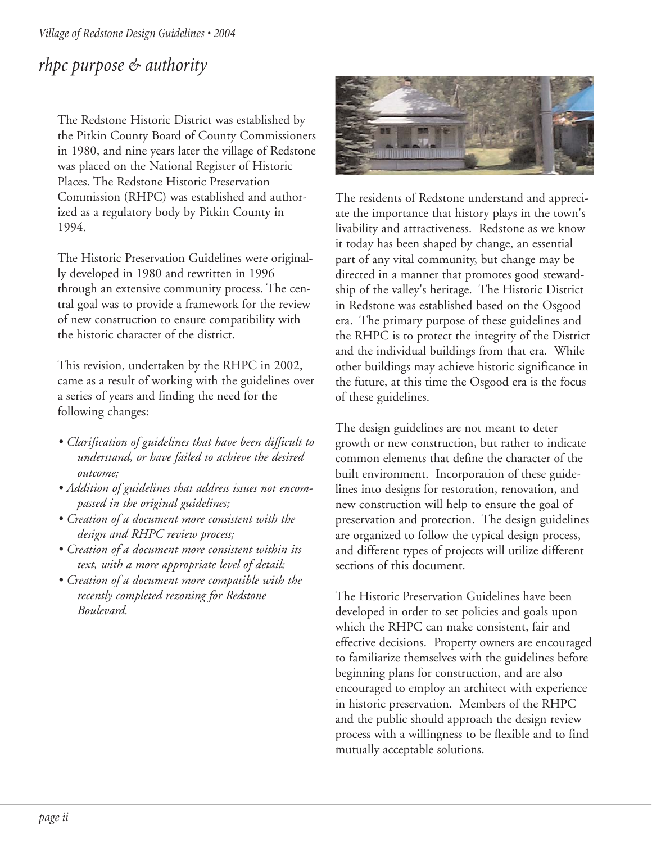# *rhpc purpose & authority*

The Redstone Historic District was established by the Pitkin County Board of County Commissioners in 1980, and nine years later the village of Redstone was placed on the National Register of Historic Places. The Redstone Historic Preservation Commission (RHPC) was established and authorized as a regulatory body by Pitkin County in 1994.

The Historic Preservation Guidelines were originally developed in 1980 and rewritten in 1996 through an extensive community process. The central goal was to provide a framework for the review of new construction to ensure compatibility with the historic character of the district.

This revision, undertaken by the RHPC in 2002, came as a result of working with the guidelines over a series of years and finding the need for the following changes:

- *Clarification of guidelines that have been difficult to understand, or have failed to achieve the desired outcome;*
- *Addition of guidelines that address issues not encompassed in the original guidelines;*
- *Creation of a document more consistent with the design and RHPC review process;*
- *Creation of a document more consistent within its text, with a more appropriate level of detail;*
- *Creation of a document more compatible with the recently completed rezoning for Redstone Boulevard.*



The residents of Redstone understand and appreciate the importance that history plays in the town's livability and attractiveness. Redstone as we know it today has been shaped by change, an essential part of any vital community, but change may be directed in a manner that promotes good stewardship of the valley's heritage. The Historic District in Redstone was established based on the Osgood era. The primary purpose of these guidelines and the RHPC is to protect the integrity of the District and the individual buildings from that era. While other buildings may achieve historic significance in the future, at this time the Osgood era is the focus of these guidelines.

The design guidelines are not meant to deter growth or new construction, but rather to indicate common elements that define the character of the built environment. Incorporation of these guidelines into designs for restoration, renovation, and new construction will help to ensure the goal of preservation and protection. The design guidelines are organized to follow the typical design process, and different types of projects will utilize different sections of this document.

The Historic Preservation Guidelines have been developed in order to set policies and goals upon which the RHPC can make consistent, fair and effective decisions. Property owners are encouraged to familiarize themselves with the guidelines before beginning plans for construction, and are also encouraged to employ an architect with experience in historic preservation. Members of the RHPC and the public should approach the design review process with a willingness to be flexible and to find mutually acceptable solutions.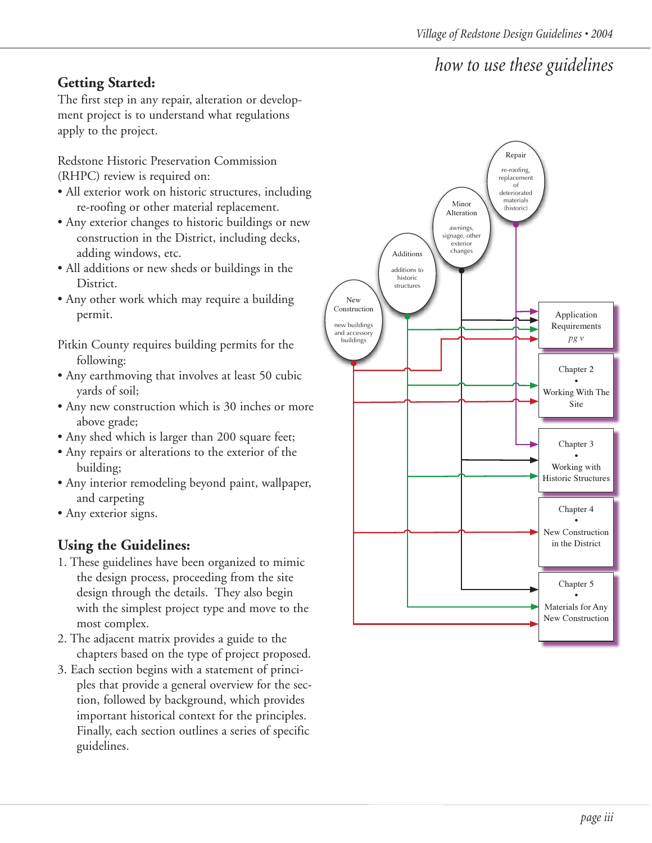## *how to use these guidelines*

## **Getting Started:**

The first step in any repair, alteration or development project is to understand what regulations apply to the project.

Redstone Historic Preservation Commission (RHPC) review is required on:

- All exterior work on historic structures, including re-roofing or other material replacement.
- Any exterior changes to historic buildings or new construction in the District, including decks, adding windows, etc.
- All additions or new sheds or buildings in the District.
- Any other work which may require a building permit.
- Pitkin County requires building permits for the following:
- Any earthmoving that involves at least 50 cubic yards of soil;
- Any new construction which is 30 inches or more above grade;
- Any shed which is larger than 200 square feet;
- Any repairs or alterations to the exterior of the building;
- Any interior remodeling beyond paint, wallpaper, and carpeting
- Any exterior signs.

### **Using the Guidelines:**

- 1. These guidelines have been organized to mimic the design process, proceeding from the site design through the details. They also begin with the simplest project type and move to the most complex.
- 2. The adjacent matrix provides a guide to the chapters based on the type of project proposed.
- 3. Each section begins with a statement of principles that provide a general overview for the section, followed by background, which provides important historical context for the principles. Finally, each section outlines a series of specific guidelines.

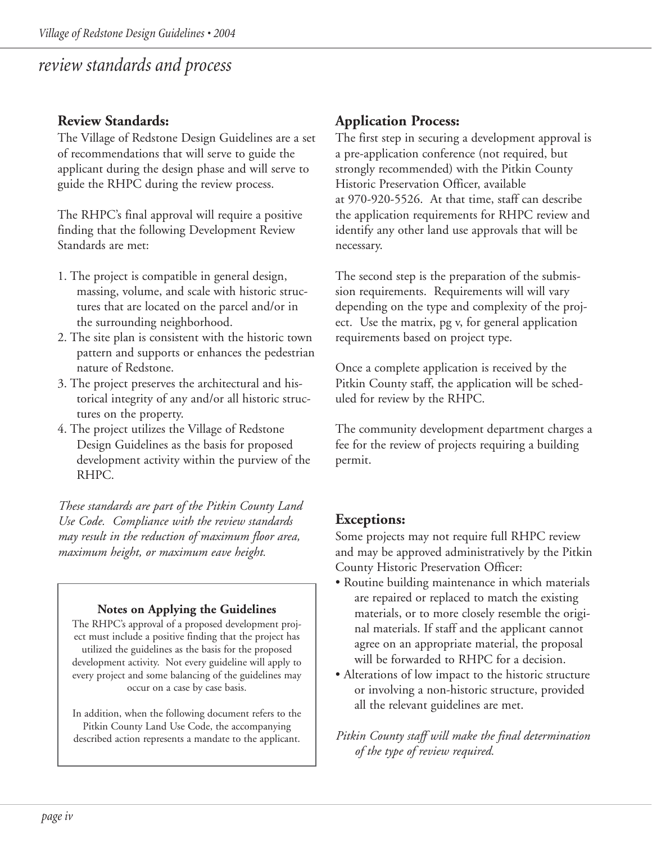## *review standards and process*

### **Review Standards:**

The Village of Redstone Design Guidelines are a set of recommendations that will serve to guide the applicant during the design phase and will serve to guide the RHPC during the review process.

The RHPC's final approval will require a positive finding that the following Development Review Standards are met:

- 1. The project is compatible in general design, massing, volume, and scale with historic structures that are located on the parcel and/or in the surrounding neighborhood.
- 2. The site plan is consistent with the historic town pattern and supports or enhances the pedestrian nature of Redstone.
- 3. The project preserves the architectural and historical integrity of any and/or all historic structures on the property.
- 4. The project utilizes the Village of Redstone Design Guidelines as the basis for proposed development activity within the purview of the RHPC.

*These standards are part of the Pitkin County Land Use Code. Compliance with the review standards may result in the reduction of maximum floor area, maximum height, or maximum eave height.*

#### **Notes on Applying the Guidelines**

The RHPC's approval of a proposed development project must include a positive finding that the project has utilized the guidelines as the basis for the proposed development activity. Not every guideline will apply to every project and some balancing of the guidelines may occur on a case by case basis.

In addition, when the following document refers to the Pitkin County Land Use Code, the accompanying described action represents a mandate to the applicant.

### **Application Process:**

The first step in securing a development approval is a pre-application conference (not required, but strongly recommended) with the Pitkin County Historic Preservation Officer, available at 970-920-5526. At that time, staff can describe the application requirements for RHPC review and identify any other land use approvals that will be necessary.

The second step is the preparation of the submission requirements. Requirements will will vary depending on the type and complexity of the project. Use the matrix, pg v, for general application requirements based on project type.

Once a complete application is received by the Pitkin County staff, the application will be scheduled for review by the RHPC.

The community development department charges a fee for the review of projects requiring a building permit.

### **Exceptions:**

Some projects may not require full RHPC review and may be approved administratively by the Pitkin County Historic Preservation Officer:

- Routine building maintenance in which materials are repaired or replaced to match the existing materials, or to more closely resemble the original materials. If staff and the applicant cannot agree on an appropriate material, the proposal will be forwarded to RHPC for a decision.
- Alterations of low impact to the historic structure or involving a non-historic structure, provided all the relevant guidelines are met.

*Pitkin County staff will make the final determination of the type of review required.*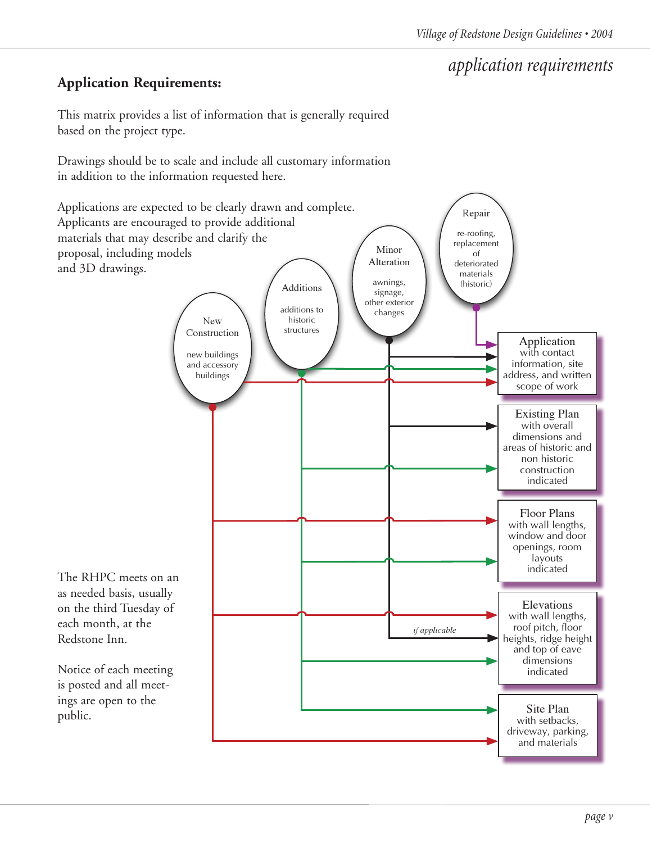# *application requirements*

### **Application Requirements:**

This matrix provides a list of information that is generally required based on the project type.

Drawings should be to scale and include all customary information in addition to the information requested here.